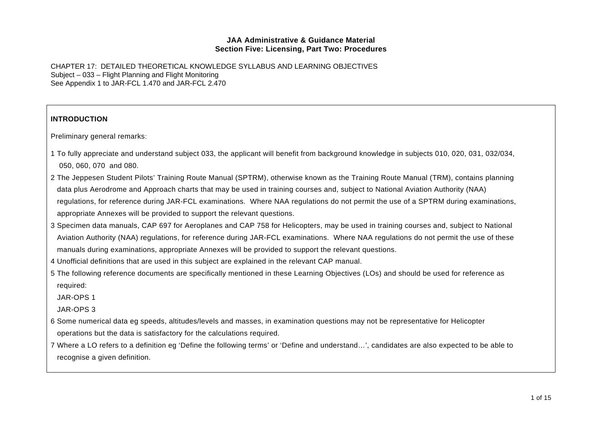CHAPTER 17: DETAILED THEORETICAL KNOWLEDGE SYLLABUS AND LEARNING OBJECTIVES Subject – 033 – Flight Planning and Flight Monitoring See Appendix 1 to JAR-FCL 1.470 and JAR-FCL 2.470

# **INTRODUCTION**

Preliminary general remarks:

- 1 To fully appreciate and understand subject 033, the applicant will benefit from background knowledge in subjects 010, 020, 031, 032/034, 050, 060, 070 and 080.
- 2 The Jeppesen Student Pilots' Training Route Manual (SPTRM), otherwise known as the Training Route Manual (TRM), contains planning data plus Aerodrome and Approach charts that may be used in training courses and, subject to National Aviation Authority (NAA) regulations, for reference during JAR-FCL examinations. Where NAA regulations do not permit the use of a SPTRM during examinations, appropriate Annexes will be provided to support the relevant questions.
- 3 Specimen data manuals, CAP 697 for Aeroplanes and CAP 758 for Helicopters, may be used in training courses and, subject to National Aviation Authority (NAA) regulations, for reference during JAR-FCL examinations. Where NAA regulations do not permit the use of these manuals during examinations, appropriate Annexes will be provided to support the relevant questions.
- 4 Unofficial definitions that are used in this subject are explained in the relevant CAP manual.
- 5 The following reference documents are specifically mentioned in these Learning Objectives (LOs) and should be used for reference as required:

JAR-OPS 1

JAR-OPS 3

- 6 Some numerical data eg speeds, altitudes/levels and masses, in examination questions may not be representative for Helicopter operations but the data is satisfactory for the calculations required.
- 7 Where a LO refers to a definition eg 'Define the following terms' or 'Define and understand…', candidates are also expected to be able to recognise a given definition.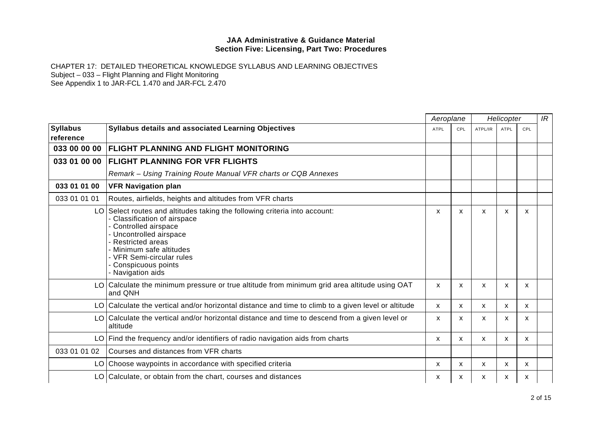|                              |                                                                                                                                                                                                                                                                                    |      | Aeroplane |                           | Helicopter  |     |  |
|------------------------------|------------------------------------------------------------------------------------------------------------------------------------------------------------------------------------------------------------------------------------------------------------------------------------|------|-----------|---------------------------|-------------|-----|--|
| <b>Syllabus</b><br>reference | Syllabus details and associated Learning Objectives                                                                                                                                                                                                                                | ATPL | CPL       | ATPL/IR                   | <b>ATPL</b> | CPL |  |
| 033 00 00 00                 | <b>FLIGHT PLANNING AND FLIGHT MONITORING</b>                                                                                                                                                                                                                                       |      |           |                           |             |     |  |
| 033 01 00 00                 | <b>FLIGHT PLANNING FOR VFR FLIGHTS</b>                                                                                                                                                                                                                                             |      |           |                           |             |     |  |
|                              | Remark - Using Training Route Manual VFR charts or CQB Annexes                                                                                                                                                                                                                     |      |           |                           |             |     |  |
| 033 01 01 00                 | <b>VFR Navigation plan</b>                                                                                                                                                                                                                                                         |      |           |                           |             |     |  |
| 033 01 01 01                 | Routes, airfields, heights and altitudes from VFR charts                                                                                                                                                                                                                           |      |           |                           |             |     |  |
|                              | LO Select routes and altitudes taking the following criteria into account:<br>Classification of airspace<br>Controlled airspace<br>Uncontrolled airspace<br>Restricted areas<br>- Minimum safe altitudes<br>- VFR Semi-circular rules<br>- Conspicuous points<br>- Navigation aids | X    | X         | $\boldsymbol{\mathsf{x}}$ | X           | X   |  |
|                              | LO Calculate the minimum pressure or true altitude from minimum grid area altitude using OAT<br>and QNH                                                                                                                                                                            | X    | X         | X                         | X           | X   |  |
|                              | LO Calculate the vertical and/or horizontal distance and time to climb to a given level or altitude                                                                                                                                                                                | X    | X         | $\boldsymbol{\mathsf{x}}$ | X           | X   |  |
|                              | LO Calculate the vertical and/or horizontal distance and time to descend from a given level or<br>altitude                                                                                                                                                                         | X    | X         | X                         | X           | X   |  |
|                              | LO Find the frequency and/or identifiers of radio navigation aids from charts                                                                                                                                                                                                      | X    | X         | $\mathsf{x}$              | X           | X   |  |
| 033 01 01 02                 | Courses and distances from VFR charts                                                                                                                                                                                                                                              |      |           |                           |             |     |  |
|                              | LO Choose waypoints in accordance with specified criteria                                                                                                                                                                                                                          | X    | X         | $\mathsf{x}$              | X           | x   |  |
|                              | LO Calculate, or obtain from the chart, courses and distances                                                                                                                                                                                                                      | x    | x         | X                         | х           | x   |  |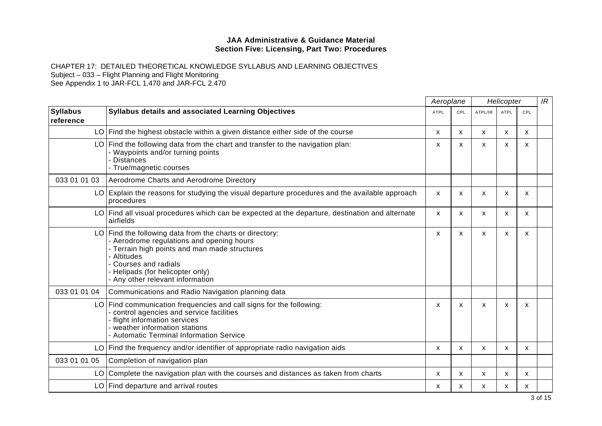CHAPTER 17: DETAILED THEORETICAL KNOWLEDGE SYLLABUS AND LEARNING OBJECTIVES Subject – 033 – Flight Planning and Flight Monitoring

See Appendix 1 to JAR-FCL 1.470 and JAR-FCL 2.470

*Aeroplane Helicopter* **Syllabus reference Syllabus details and associated Learning Objectives** ATPL CPL ATPL CPL ATPL/IR ATPL/IR ATPL CPL ATPL/IR ATPL CPL *IR* LO Find the highest obstacle within a given distance either side of the course  $\quad \quad | \quad x \quad | \quad x \quad | \quad x \quad | \quad x \quad | \quad x \quad | \quad x \quad | \quad x \quad | \quad x \quad | \quad x \quad | \quad x \quad | \quad x \quad | \quad x \quad | \quad x \quad | \quad x \quad | \quad x \quad | \quad x \quad | \quad x \quad | \quad x \quad | \quad x \quad | \quad x \quad | \quad x \quad | \quad x \quad | \quad x \$ LO Find the following data from the chart and transfer to the navigation plan: - Waypoints and/or turning points - Distances - True/magnetic courses x x x x x x x 033 01 01 03 Aerodrome Charts and Aerodrome Directory  $LO$  Explain the reasons for studying the visual departure procedures and the available approach procedures x x x x x x x  $LO$  Find all visual procedures which can be expected at the departure, destination and alternate airfields x x x x x x x  $LO$  Find the following data from the charts or directory: - Aerodrome regulations and opening hours - Terrain high points and man made structures - Altitudes - Courses and radials - Helipads (for helicopter only) - Any other relevant information x x x x x x x 033 01 01 04 Communications and Radio Navigation planning data LO Find communication frequencies and call signs for the following: - control agencies and service facilities - flight information services - weather information stations - Automatic Terminal Information Service x x x x x x x LO|Find the frequency and/or identifier of appropriate radio navigation aids  $\qquad \qquad | \quad x \quad | \quad x \quad | \quad x \quad | \quad x \quad | \quad x \quad | \quad x \quad | \quad x \quad | \quad x \quad | \quad x \quad | \quad x \quad | \quad x \quad | \quad x \quad | \quad x \quad | \quad x \quad | \quad x \quad | \quad x \quad | \quad x \quad | \quad x \quad | \quad x \quad | \quad x \quad | \quad x \quad | \quad x \quad | \quad x \$ 033 01 01 05 Completion of navigation plan LO Complete the navigation plan with the courses and distances as taken from charts x x x x x LO Find departure and arrival routes x x x x x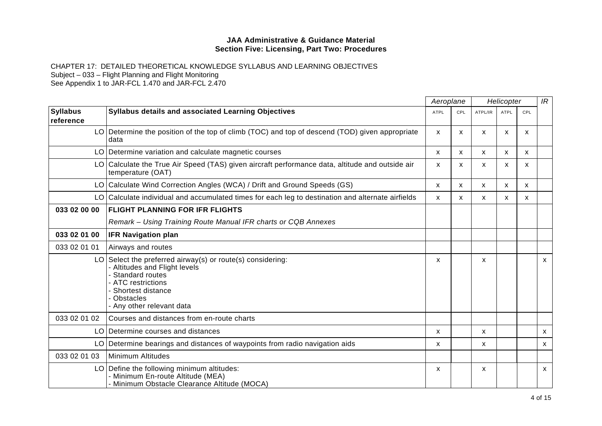|                              |                                                                                                                                                                                                         | Aeroplane    |              | Helicopter   |              |     | IR           |
|------------------------------|---------------------------------------------------------------------------------------------------------------------------------------------------------------------------------------------------------|--------------|--------------|--------------|--------------|-----|--------------|
| <b>Syllabus</b><br>reference | Syllabus details and associated Learning Objectives                                                                                                                                                     | <b>ATPL</b>  | CPL          | ATPL/IR      | <b>ATPL</b>  | CPL |              |
|                              | LO Determine the position of the top of climb (TOC) and top of descend (TOD) given appropriate<br>data                                                                                                  | X            | X            | X            | X            | X   |              |
|                              | LO Determine variation and calculate magnetic courses                                                                                                                                                   | X            | X            | X            | X.           | X   |              |
|                              | LO Calculate the True Air Speed (TAS) given aircraft performance data, altitude and outside air<br>temperature (OAT)                                                                                    | $\mathsf{x}$ | X            | X            | $\mathsf{x}$ | X   |              |
|                              | LO Calculate Wind Correction Angles (WCA) / Drift and Ground Speeds (GS)                                                                                                                                | $\mathsf{x}$ | $\mathsf{x}$ | $\mathsf{x}$ | $\mathsf{x}$ | X   |              |
|                              | LO Calculate individual and accumulated times for each leg to destination and alternate airfields                                                                                                       | $\mathsf{x}$ | X            | $\mathsf{x}$ | X            | x   |              |
| 033 02 00 00                 | <b>FLIGHT PLANNING FOR IFR FLIGHTS</b>                                                                                                                                                                  |              |              |              |              |     |              |
|                              | Remark – Using Training Route Manual IFR charts or CQB Annexes                                                                                                                                          |              |              |              |              |     |              |
| 033 02 01 00                 | <b>IFR Navigation plan</b>                                                                                                                                                                              |              |              |              |              |     |              |
| 033 02 01 01                 | Airways and routes                                                                                                                                                                                      |              |              |              |              |     |              |
|                              | $LO$ Select the preferred airway(s) or route(s) considering:<br>- Altitudes and Flight levels<br>Standard routes<br>- ATC restrictions<br>Shortest distance<br>- Obstacles<br>- Any other relevant data | X            |              | X            |              |     | $\mathsf{x}$ |
| 033 02 01 02                 | Courses and distances from en-route charts                                                                                                                                                              |              |              |              |              |     |              |
|                              | LO Determine courses and distances                                                                                                                                                                      | X            |              | X            |              |     | $\mathsf{x}$ |
|                              | LO   Determine bearings and distances of waypoints from radio navigation aids                                                                                                                           | X            |              | X            |              |     | $\mathsf{x}$ |
| 033 02 01 03                 | Minimum Altitudes                                                                                                                                                                                       |              |              |              |              |     |              |
|                              | LO Define the following minimum altitudes:<br>- Minimum En-route Altitude (MEA)<br>- Minimum Obstacle Clearance Altitude (MOCA)                                                                         | X            |              | X            |              |     | $\mathsf{x}$ |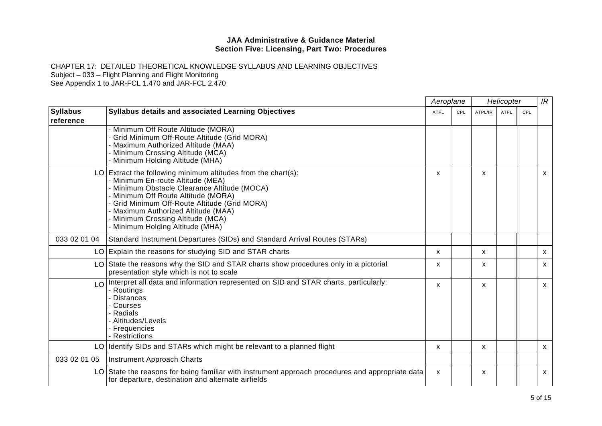CHAPTER 17: DETAILED THEORETICAL KNOWLEDGE SYLLABUS AND LEARNING OBJECTIVES

Subject – 033 – Flight Planning and Flight Monitoring

See Appendix 1 to JAR-FCL 1.470 and JAR-FCL 2.470

|                              |                                                                                                                                                                                                                                                                                                                                                              | Aeroplane    |     | Helicopter |      | IR  |                           |
|------------------------------|--------------------------------------------------------------------------------------------------------------------------------------------------------------------------------------------------------------------------------------------------------------------------------------------------------------------------------------------------------------|--------------|-----|------------|------|-----|---------------------------|
| <b>Syllabus</b><br>reference | <b>Syllabus details and associated Learning Objectives</b>                                                                                                                                                                                                                                                                                                   | ATPL         | CPL | ATPL/IR    | ATPL | CPL |                           |
|                              | Minimum Off Route Altitude (MORA)<br>Grid Minimum Off-Route Altitude (Grid MORA)<br>Maximum Authorized Altitude (MAA)<br>- Minimum Crossing Altitude (MCA)<br>Minimum Holding Altitude (MHA)                                                                                                                                                                 |              |     |            |      |     |                           |
|                              | $LO$ Extract the following minimum altitudes from the chart(s):<br>- Minimum En-route Altitude (MEA)<br>- Minimum Obstacle Clearance Altitude (MOCA)<br>- Minimum Off Route Altitude (MORA)<br>- Grid Minimum Off-Route Altitude (Grid MORA)<br>- Maximum Authorized Altitude (MAA)<br>- Minimum Crossing Altitude (MCA)<br>- Minimum Holding Altitude (MHA) | X            |     | X          |      |     | $\mathsf{x}$              |
| 033 02 01 04                 | Standard Instrument Departures (SIDs) and Standard Arrival Routes (STARs)                                                                                                                                                                                                                                                                                    |              |     |            |      |     |                           |
|                              | LO Explain the reasons for studying SID and STAR charts                                                                                                                                                                                                                                                                                                      | X            |     | X          |      |     | $\boldsymbol{\mathsf{x}}$ |
|                              | LO State the reasons why the SID and STAR charts show procedures only in a pictorial<br>presentation style which is not to scale                                                                                                                                                                                                                             | x            |     | X          |      |     | X                         |
| LO                           | Interpret all data and information represented on SID and STAR charts, particularly:<br>Routings<br>Distances<br>- Courses<br>- Radials<br>- Altitudes/Levels<br>- Frequencies<br><b>Restrictions</b>                                                                                                                                                        | X            |     | X          |      |     | $\mathsf{x}$              |
|                              | LO Identify SIDs and STARs which might be relevant to a planned flight                                                                                                                                                                                                                                                                                       | X            |     | x          |      |     | X                         |
| 033 02 01 05                 | Instrument Approach Charts                                                                                                                                                                                                                                                                                                                                   |              |     |            |      |     |                           |
|                              | LO State the reasons for being familiar with instrument approach procedures and appropriate data<br>for departure, destination and alternate airfields                                                                                                                                                                                                       | $\mathsf{x}$ |     | X          |      |     | $\mathsf{x}$              |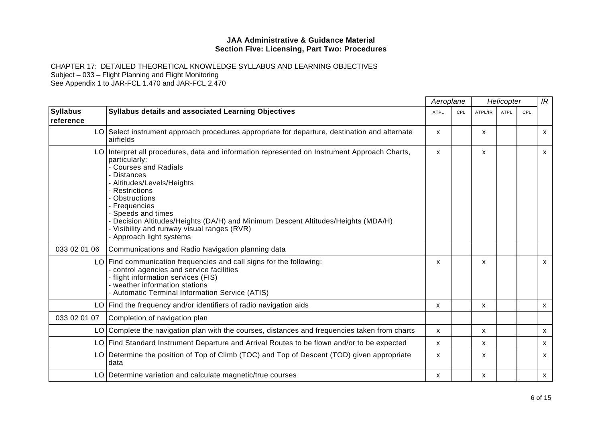CHAPTER 17: DETAILED THEORETICAL KNOWLEDGE SYLLABUS AND LEARNING OBJECTIVES Subject – 033 – Flight Planning and Flight Monitoring

See Appendix 1 to JAR-FCL 1.470 and JAR-FCL 2.470

|                              |                                                                                                                                                                                                                                                                                                                                                                                                                           | Aeroplane    |     | Helicopter   |             |     | IR           |
|------------------------------|---------------------------------------------------------------------------------------------------------------------------------------------------------------------------------------------------------------------------------------------------------------------------------------------------------------------------------------------------------------------------------------------------------------------------|--------------|-----|--------------|-------------|-----|--------------|
| <b>Syllabus</b><br>reference | <b>Syllabus details and associated Learning Objectives</b>                                                                                                                                                                                                                                                                                                                                                                | ATPL         | CPL | ATPL/IR      | <b>ATPL</b> | CPL |              |
|                              | LO Select instrument approach procedures appropriate for departure, destination and alternate<br>airfields                                                                                                                                                                                                                                                                                                                | $\mathsf{x}$ |     | X            |             |     | $\mathsf{X}$ |
|                              | LO Interpret all procedures, data and information represented on Instrument Approach Charts,<br>particularly:<br>- Courses and Radials<br><b>Distances</b><br>- Altitudes/Levels/Heights<br>Restrictions<br>Obstructions<br>- Frequencies<br>Speeds and times<br>Decision Altitudes/Heights (DA/H) and Minimum Descent Altitudes/Heights (MDA/H)<br>- Visibility and runway visual ranges (RVR)<br>Approach light systems | X            |     | X            |             |     | $\mathsf{x}$ |
| 033 02 01 06                 | Communications and Radio Navigation planning data                                                                                                                                                                                                                                                                                                                                                                         |              |     |              |             |     |              |
|                              | LO Find communication frequencies and call signs for the following:<br>control agencies and service facilities<br>- flight information services (FIS)<br>- weather information stations<br>- Automatic Terminal Information Service (ATIS)                                                                                                                                                                                | x            |     | X            |             |     | $\mathsf{X}$ |
|                              | $LO$ Find the frequency and/or identifiers of radio navigation aids                                                                                                                                                                                                                                                                                                                                                       | X            |     | $\mathsf{x}$ |             |     | X            |
| 033 02 01 07                 | Completion of navigation plan                                                                                                                                                                                                                                                                                                                                                                                             |              |     |              |             |     |              |
|                              | LO Complete the navigation plan with the courses, distances and frequencies taken from charts                                                                                                                                                                                                                                                                                                                             | X            |     | X            |             |     | $\mathsf{x}$ |
|                              | LO Find Standard Instrument Departure and Arrival Routes to be flown and/or to be expected                                                                                                                                                                                                                                                                                                                                | $\mathsf{x}$ |     | X            |             |     | $\mathsf{x}$ |
|                              | LO Determine the position of Top of Climb (TOC) and Top of Descent (TOD) given appropriate<br>data                                                                                                                                                                                                                                                                                                                        | X            |     | X            |             |     | $\mathsf{x}$ |
|                              | LO Determine variation and calculate magnetic/true courses                                                                                                                                                                                                                                                                                                                                                                | X            |     | X            |             |     | $\mathsf{X}$ |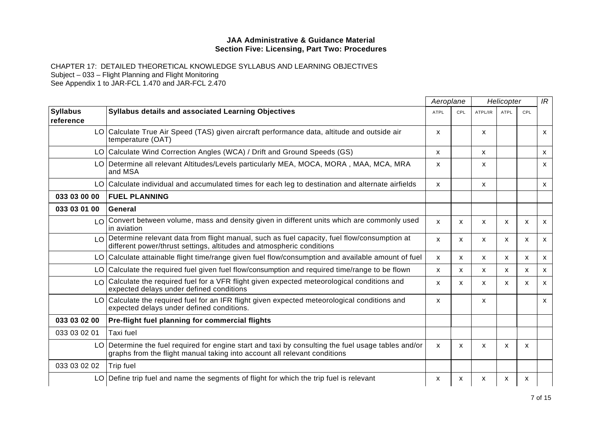|                              |                                                                                                                                                                                  | Aeroplane<br>Helicopter |     |         |             |     | IR                        |
|------------------------------|----------------------------------------------------------------------------------------------------------------------------------------------------------------------------------|-------------------------|-----|---------|-------------|-----|---------------------------|
| <b>Syllabus</b><br>reference | Syllabus details and associated Learning Objectives                                                                                                                              | <b>ATPL</b>             | CPL | ATPL/IR | <b>ATPL</b> | CPL |                           |
|                              | LO Calculate True Air Speed (TAS) given aircraft performance data, altitude and outside air<br>temperature (OAT)                                                                 | X.                      |     | X       |             |     | $\mathsf{X}$              |
|                              | LO Calculate Wind Correction Angles (WCA) / Drift and Ground Speeds (GS)                                                                                                         | X                       |     | X       |             |     | $\mathsf{x}$              |
|                              | LO Determine all relevant Altitudes/Levels particularly MEA, MOCA, MORA, MAA, MCA, MRA<br>and MSA                                                                                | X                       |     | X       |             |     | $\mathsf{x}$              |
|                              | LO Calculate individual and accumulated times for each leg to destination and alternate airfields                                                                                | X                       |     | X       |             |     | $\mathsf{x}$              |
| 033 03 00 00                 | <b>FUEL PLANNING</b>                                                                                                                                                             |                         |     |         |             |     |                           |
| 033 03 01 00                 | General                                                                                                                                                                          |                         |     |         |             |     |                           |
|                              | LO Convert between volume, mass and density given in different units which are commonly used<br>in aviation                                                                      | $\mathsf{x}$            | X   | X       | X           | X   | $\mathsf{x}$              |
|                              | LO Determine relevant data from flight manual, such as fuel capacity, fuel flow/consumption at<br>different power/thrust settings, altitudes and atmospheric conditions          | X                       | X   | X       | X           | X   | $\mathsf{x}$              |
|                              | LO Calculate attainable flight time/range given fuel flow/consumption and available amount of fuel                                                                               | X                       | X   | X       | X           | X   | $\boldsymbol{\mathsf{x}}$ |
|                              | LO Calculate the required fuel given fuel flow/consumption and required time/range to be flown                                                                                   | X                       | X.  | X       | x           | х   | $\boldsymbol{\mathsf{x}}$ |
|                              | LO Calculate the required fuel for a VFR flight given expected meteorological conditions and<br>expected delays under defined conditions                                         | X                       | X   | X       | X           | X   | $\boldsymbol{\mathsf{x}}$ |
|                              | LO Calculate the required fuel for an IFR flight given expected meteorological conditions and<br>expected delays under defined conditions.                                       | X.                      |     | X       |             |     | $\mathsf{X}$              |
| 033 03 02 00                 | Pre-flight fuel planning for commercial flights                                                                                                                                  |                         |     |         |             |     |                           |
| 033 03 02 01                 | Taxi fuel                                                                                                                                                                        |                         |     |         |             |     |                           |
|                              | LO Determine the fuel required for engine start and taxi by consulting the fuel usage tables and/or<br>graphs from the flight manual taking into account all relevant conditions | X                       | X   | X       | X           | X   |                           |
| 033 03 02 02                 | Trip fuel                                                                                                                                                                        |                         |     |         |             |     |                           |
|                              | LO Define trip fuel and name the segments of flight for which the trip fuel is relevant                                                                                          | x                       | х   | x       | x           | x   |                           |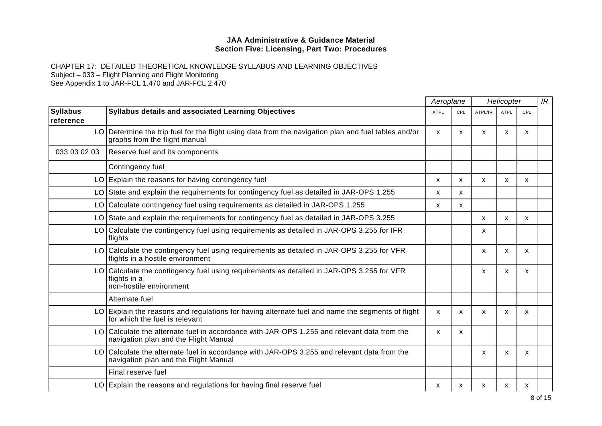|                              |                                                                                                                                       |              | Aeroplane |         | Helicopter  |     |  |
|------------------------------|---------------------------------------------------------------------------------------------------------------------------------------|--------------|-----------|---------|-------------|-----|--|
| <b>Syllabus</b><br>reference | Syllabus details and associated Learning Objectives                                                                                   | ATPL         | CPL       | ATPL/IR | <b>ATPL</b> | CPL |  |
|                              | LO Determine the trip fuel for the flight using data from the navigation plan and fuel tables and/or<br>graphs from the flight manual | $\mathsf{x}$ | X         | X       | X           | x   |  |
| 033 03 02 03                 | Reserve fuel and its components                                                                                                       |              |           |         |             |     |  |
|                              | Contingency fuel                                                                                                                      |              |           |         |             |     |  |
|                              | $LO$ Explain the reasons for having contingency fuel                                                                                  | X            | X         | X       | X           | X   |  |
|                              | LO State and explain the requirements for contingency fuel as detailed in JAR-OPS 1.255                                               | X            | X         |         |             |     |  |
| LO I                         | Calculate contingency fuel using requirements as detailed in JAR-OPS 1.255                                                            | X            | X         |         |             |     |  |
|                              | LO State and explain the requirements for contingency fuel as detailed in JAR-OPS 3.255                                               |              |           | X       | X           | X   |  |
|                              | LO Calculate the contingency fuel using requirements as detailed in JAR-OPS 3.255 for IFR<br>flights                                  |              |           | x       |             |     |  |
|                              | LO Calculate the contingency fuel using requirements as detailed in JAR-OPS 3.255 for VFR<br>flights in a hostile environment         |              |           | X       | X           | x   |  |
|                              | LO Calculate the contingency fuel using requirements as detailed in JAR-OPS 3.255 for VFR<br>flights in a<br>non-hostile environment  |              |           | X       | X           | X   |  |
|                              | Alternate fuel                                                                                                                        |              |           |         |             |     |  |
|                              | $LO$ Explain the reasons and regulations for having alternate fuel and name the segments of flight<br>for which the fuel is relevant  | $\mathsf{x}$ | X         | X       | X           | X   |  |
|                              | LO Calculate the alternate fuel in accordance with JAR-OPS 1.255 and relevant data from the<br>navigation plan and the Flight Manual  | $\mathsf{x}$ | X         |         |             |     |  |
|                              | LO Calculate the alternate fuel in accordance with JAR-OPS 3.255 and relevant data from the<br>navigation plan and the Flight Manual  |              |           | X       | X           | X   |  |
|                              | Final reserve fuel                                                                                                                    |              |           |         |             |     |  |
|                              | LO Explain the reasons and regulations for having final reserve fuel                                                                  | X            | X         | X       | x           | x   |  |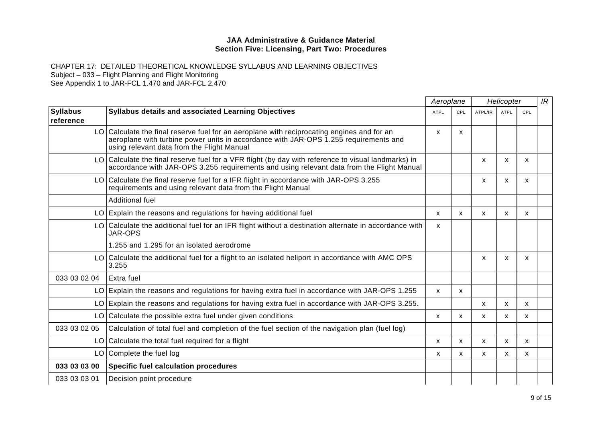|                              | Aeroplane                                                                                                                                                                                                                        |              |                           | Helicopter   |              |     | IR |
|------------------------------|----------------------------------------------------------------------------------------------------------------------------------------------------------------------------------------------------------------------------------|--------------|---------------------------|--------------|--------------|-----|----|
| <b>Syllabus</b><br>reference | <b>Syllabus details and associated Learning Objectives</b>                                                                                                                                                                       | <b>ATPL</b>  | CPL                       | ATPL/IR      | <b>ATPL</b>  | CPL |    |
|                              | LO Calculate the final reserve fuel for an aeroplane with reciprocating engines and for an<br>aeroplane with turbine power units in accordance with JAR-OPS 1.255 requirements and<br>using relevant data from the Flight Manual | $\mathsf{x}$ | $\boldsymbol{\mathsf{x}}$ |              |              |     |    |
|                              | LO Calculate the final reserve fuel for a VFR flight (by day with reference to visual landmarks) in<br>accordance with JAR-OPS 3.255 requirements and using relevant data from the Flight Manual                                 |              |                           | X            | $\mathsf{x}$ | X   |    |
|                              | LO Calculate the final reserve fuel for a IFR flight in accordance with JAR-OPS 3.255<br>requirements and using relevant data from the Flight Manual                                                                             |              |                           | X            | X            | X   |    |
|                              | Additional fuel                                                                                                                                                                                                                  |              |                           |              |              |     |    |
|                              | LO Explain the reasons and regulations for having additional fuel                                                                                                                                                                | X            | $\mathsf{x}$              | X            | X            | X   |    |
|                              | LO Calculate the additional fuel for an IFR flight without a destination alternate in accordance with<br>JAR-OPS                                                                                                                 | X            |                           |              |              |     |    |
|                              | 1.255 and 1.295 for an isolated aerodrome                                                                                                                                                                                        |              |                           |              |              |     |    |
|                              | LO Calculate the additional fuel for a flight to an isolated heliport in accordance with AMC OPS<br>3.255                                                                                                                        |              |                           | x            | X            | X   |    |
| 033 03 02 04                 | Extra fuel                                                                                                                                                                                                                       |              |                           |              |              |     |    |
|                              | $LO$ Explain the reasons and regulations for having extra fuel in accordance with JAR-OPS 1.255                                                                                                                                  | $\mathsf{x}$ | X                         |              |              |     |    |
|                              | $LO$ Explain the reasons and regulations for having extra fuel in accordance with JAR-OPS 3.255.                                                                                                                                 |              |                           | $\mathsf{x}$ | X            | X   |    |
|                              | LO Calculate the possible extra fuel under given conditions                                                                                                                                                                      | x            | X                         | X            | X            | x   |    |
| 033 03 02 05                 | Calculation of total fuel and completion of the fuel section of the navigation plan (fuel log)                                                                                                                                   |              |                           |              |              |     |    |
|                              | LO Calculate the total fuel required for a flight                                                                                                                                                                                | X            | X                         | X            | X            | X   |    |
|                              | LO Complete the fuel log                                                                                                                                                                                                         | x            | X                         | x            | X            | X   |    |
| 033 03 03 00                 | <b>Specific fuel calculation procedures</b>                                                                                                                                                                                      |              |                           |              |              |     |    |
| 033 03 03 01                 | Decision point procedure                                                                                                                                                                                                         |              |                           |              |              |     |    |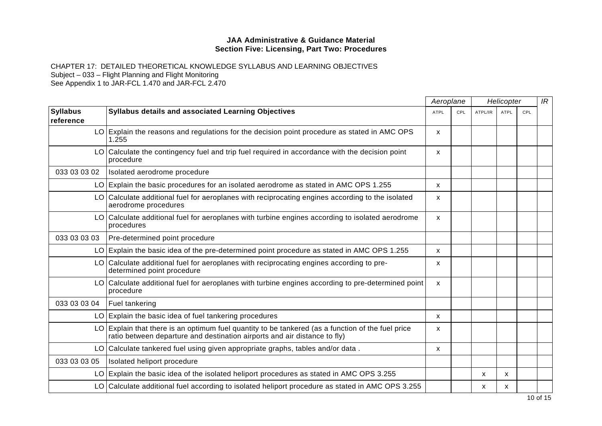|                              |                                                                                                                                                                                  | Aeroplane    |     | Helicopter |             |     | IR |
|------------------------------|----------------------------------------------------------------------------------------------------------------------------------------------------------------------------------|--------------|-----|------------|-------------|-----|----|
| <b>Syllabus</b><br>reference | Syllabus details and associated Learning Objectives                                                                                                                              | <b>ATPL</b>  | CPL | ATPL/IR    | <b>ATPL</b> | CPL |    |
|                              | LO Explain the reasons and regulations for the decision point procedure as stated in AMC OPS<br>1.255                                                                            | <b>X</b>     |     |            |             |     |    |
|                              | LO Calculate the contingency fuel and trip fuel required in accordance with the decision point<br>procedure                                                                      | X            |     |            |             |     |    |
| 033 03 03 02                 | Isolated aerodrome procedure                                                                                                                                                     |              |     |            |             |     |    |
|                              | $LO$ Explain the basic procedures for an isolated aerodrome as stated in AMC OPS 1.255                                                                                           | $\mathsf{x}$ |     |            |             |     |    |
|                              | LO Calculate additional fuel for aeroplanes with reciprocating engines according to the isolated<br>aerodrome procedures                                                         | X            |     |            |             |     |    |
|                              | LO Calculate additional fuel for aeroplanes with turbine engines according to isolated aerodrome<br>procedures                                                                   | X            |     |            |             |     |    |
| 033 03 03 03                 | Pre-determined point procedure                                                                                                                                                   |              |     |            |             |     |    |
|                              | $LO$ Explain the basic idea of the pre-determined point procedure as stated in AMC OPS 1.255                                                                                     | X            |     |            |             |     |    |
|                              | LO Calculate additional fuel for aeroplanes with reciprocating engines according to pre-<br>determined point procedure                                                           | x            |     |            |             |     |    |
|                              | LO Calculate additional fuel for aeroplanes with turbine engines according to pre-determined point<br>procedure                                                                  | X            |     |            |             |     |    |
| 033 03 03 04                 | <b>Fuel tankering</b>                                                                                                                                                            |              |     |            |             |     |    |
|                              | $LO$ Explain the basic idea of fuel tankering procedures                                                                                                                         | X            |     |            |             |     |    |
|                              | $LO$ Explain that there is an optimum fuel quantity to be tankered (as a function of the fuel price<br>ratio between departure and destination airports and air distance to fly) | X            |     |            |             |     |    |
|                              | LO Calculate tankered fuel using given appropriate graphs, tables and/or data.                                                                                                   | X            |     |            |             |     |    |
| 033 03 03 05                 | Isolated heliport procedure                                                                                                                                                      |              |     |            |             |     |    |
|                              | $LO$ Explain the basic idea of the isolated heliport procedures as stated in AMC OPS 3.255                                                                                       |              |     | X          | x           |     |    |
|                              | LO Calculate additional fuel according to isolated heliport procedure as stated in AMC OPS 3.255                                                                                 |              |     | х          | х           |     |    |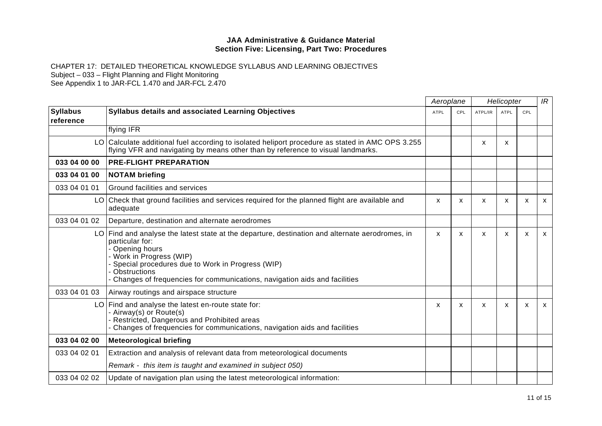|                              |                                                                                                                                                                                                                                                                                                                      | Aeroplane    |     |         | Helicopter  |              | IR           |
|------------------------------|----------------------------------------------------------------------------------------------------------------------------------------------------------------------------------------------------------------------------------------------------------------------------------------------------------------------|--------------|-----|---------|-------------|--------------|--------------|
| <b>Syllabus</b><br>reference | <b>Syllabus details and associated Learning Objectives</b>                                                                                                                                                                                                                                                           | <b>ATPL</b>  | CPL | ATPL/IR | <b>ATPL</b> | CPL          |              |
|                              | flying IFR                                                                                                                                                                                                                                                                                                           |              |     |         |             |              |              |
|                              | LO Calculate additional fuel according to isolated heliport procedure as stated in AMC OPS 3.255<br>flying VFR and navigating by means other than by reference to visual landmarks.                                                                                                                                  |              |     | X       | X           |              |              |
| 033 04 00 00                 | <b>PRE-FLIGHT PREPARATION</b>                                                                                                                                                                                                                                                                                        |              |     |         |             |              |              |
| 033 04 01 00                 | <b>NOTAM briefing</b>                                                                                                                                                                                                                                                                                                |              |     |         |             |              |              |
| 033 04 01 01                 | Ground facilities and services                                                                                                                                                                                                                                                                                       |              |     |         |             |              |              |
|                              | LO Check that ground facilities and services required for the planned flight are available and<br>adequate                                                                                                                                                                                                           | X            | X   | X       | X           | X            | $\mathsf{x}$ |
| 033 04 01 02                 | Departure, destination and alternate aerodromes                                                                                                                                                                                                                                                                      |              |     |         |             |              |              |
|                              | $LO$ Find and analyse the latest state at the departure, destination and alternate aerodromes, in<br>particular for:<br>- Opening hours<br>- Work in Progress (WIP)<br>Special procedures due to Work in Progress (WIP)<br>Obstructions<br>Changes of frequencies for communications, navigation aids and facilities | $\mathsf{x}$ | X   | X       | X           | $\mathsf{x}$ | $\mathsf{x}$ |
| 033 04 01 03                 | Airway routings and airspace structure                                                                                                                                                                                                                                                                               |              |     |         |             |              |              |
|                              | $LO$ Find and analyse the latest en-route state for:<br>- Airway(s) or Route(s)<br>- Restricted, Dangerous and Prohibited areas<br>Changes of frequencies for communications, navigation aids and facilities                                                                                                         | X            | X   | X       | X           | X            | $\mathsf{x}$ |
| 033 04 02 00                 | <b>Meteorological briefing</b>                                                                                                                                                                                                                                                                                       |              |     |         |             |              |              |
| 033 04 02 01                 | Extraction and analysis of relevant data from meteorological documents                                                                                                                                                                                                                                               |              |     |         |             |              |              |
|                              | Remark - this item is taught and examined in subject 050)                                                                                                                                                                                                                                                            |              |     |         |             |              |              |
| 033 04 02 02                 | Update of navigation plan using the latest meteorological information:                                                                                                                                                                                                                                               |              |     |         |             |              |              |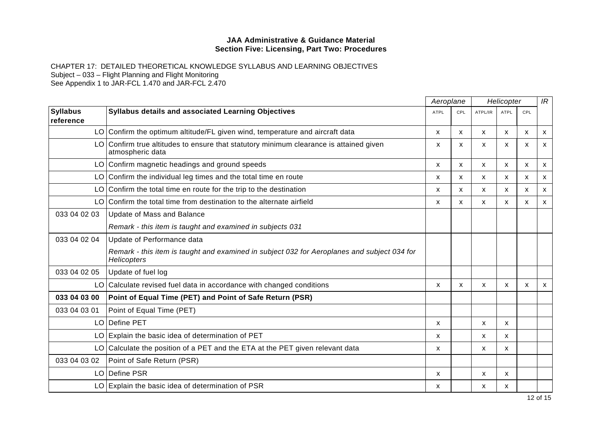|                              |                                                                                                            | Aeroplane   |              |              | Helicopter   |              | IR           |
|------------------------------|------------------------------------------------------------------------------------------------------------|-------------|--------------|--------------|--------------|--------------|--------------|
| <b>Syllabus</b><br>reference | Syllabus details and associated Learning Objectives                                                        | <b>ATPL</b> | CPL          | ATPL/IR      | <b>ATPL</b>  | CPL          |              |
|                              | LO Confirm the optimum altitude/FL given wind, temperature and aircraft data                               | X           | $\mathsf{x}$ | X            | X            | X            | $\mathsf{x}$ |
|                              | LO Confirm true altitudes to ensure that statutory minimum clearance is attained given<br>atmospheric data | X           | X            | x            | X            | X            | $\mathsf{x}$ |
|                              | LO Confirm magnetic headings and ground speeds                                                             | X           | $\mathsf{x}$ | X            | $\mathsf{x}$ | X            | $\mathsf{x}$ |
|                              | $LO $ Confirm the individual leg times and the total time en route                                         | x           | X            | X.           | X.           | X            | $\mathsf{x}$ |
|                              | $LO $ Confirm the total time en route for the trip to the destination                                      | X           | $\mathsf{x}$ | X            | $\mathsf{x}$ | X            | $\mathsf{x}$ |
| LO I                         | Confirm the total time from destination to the alternate airfield                                          | X           | $\mathsf{x}$ | $\mathsf{x}$ | $\mathsf{x}$ | $\mathsf{x}$ | $\mathsf{x}$ |
| 033 04 02 03                 | Update of Mass and Balance                                                                                 |             |              |              |              |              |              |
|                              | Remark - this item is taught and examined in subjects 031                                                  |             |              |              |              |              |              |
| 033 04 02 04                 | Update of Performance data                                                                                 |             |              |              |              |              |              |
|                              | Remark - this item is taught and examined in subject 032 for Aeroplanes and subject 034 for<br>Helicopters |             |              |              |              |              |              |
| 033 04 02 05                 | Update of fuel log                                                                                         |             |              |              |              |              |              |
|                              | LO Calculate revised fuel data in accordance with changed conditions                                       | X           | X            | X            | X            | X            | $\mathsf{x}$ |
| 033 04 03 00                 | Point of Equal Time (PET) and Point of Safe Return (PSR)                                                   |             |              |              |              |              |              |
| 033 04 03 01                 | Point of Equal Time (PET)                                                                                  |             |              |              |              |              |              |
|                              | LO Define PET                                                                                              | X           |              | X            | X            |              |              |
|                              | LO Explain the basic idea of determination of PET                                                          | X           |              | X            | X            |              |              |
|                              | LO Calculate the position of a PET and the ETA at the PET given relevant data                              | x           |              | X            | X.           |              |              |
| 033 04 03 02                 | Point of Safe Return (PSR)                                                                                 |             |              |              |              |              |              |
|                              | LO Define PSR                                                                                              | X           |              | X            | X            |              |              |
|                              | LO Explain the basic idea of determination of PSR                                                          | X           |              | X            | X            |              |              |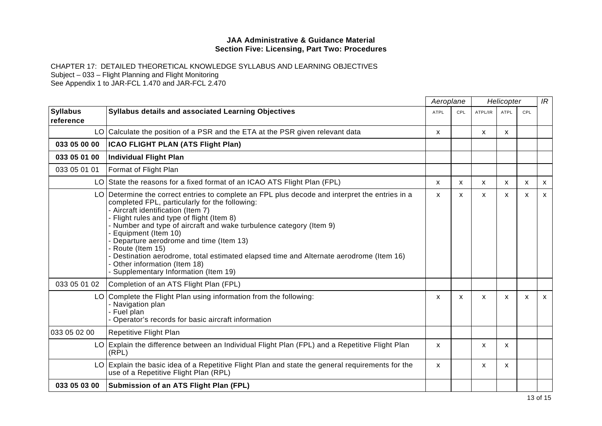CHAPTER 17: DETAILED THEORETICAL KNOWLEDGE SYLLABUS AND LEARNING OBJECTIVES Subject – 033 – Flight Planning and Flight Monitoring

See Appendix 1 to JAR-FCL 1.470 and JAR-FCL 2.470

|                              |                                                                                                                                                                                                                                                                                                                                                                                                                                                                                                                                                                    | Aeroplane   |              | Helicopter |              |              | IR           |
|------------------------------|--------------------------------------------------------------------------------------------------------------------------------------------------------------------------------------------------------------------------------------------------------------------------------------------------------------------------------------------------------------------------------------------------------------------------------------------------------------------------------------------------------------------------------------------------------------------|-------------|--------------|------------|--------------|--------------|--------------|
| <b>Syllabus</b><br>reference | <b>Syllabus details and associated Learning Objectives</b>                                                                                                                                                                                                                                                                                                                                                                                                                                                                                                         | <b>ATPL</b> | CPL          | ATPL/IR    | <b>ATPL</b>  | CPL          |              |
|                              | LO Calculate the position of a PSR and the ETA at the PSR given relevant data                                                                                                                                                                                                                                                                                                                                                                                                                                                                                      | X           |              | X          | X            |              |              |
| 033 05 00 00                 | ICAO FLIGHT PLAN (ATS Flight Plan)                                                                                                                                                                                                                                                                                                                                                                                                                                                                                                                                 |             |              |            |              |              |              |
| 033 05 01 00                 | Individual Flight Plan                                                                                                                                                                                                                                                                                                                                                                                                                                                                                                                                             |             |              |            |              |              |              |
| 033 05 01 01                 | Format of Flight Plan                                                                                                                                                                                                                                                                                                                                                                                                                                                                                                                                              |             |              |            |              |              |              |
|                              | LO State the reasons for a fixed format of an ICAO ATS Flight Plan (FPL)                                                                                                                                                                                                                                                                                                                                                                                                                                                                                           | X           | $\mathsf{x}$ | X          | $\mathsf{x}$ | $\mathsf{x}$ | $\mathsf{x}$ |
|                              | LO Determine the correct entries to complete an FPL plus decode and interpret the entries in a<br>completed FPL, particularly for the following:<br>- Aircraft identification (Item 7)<br>- Flight rules and type of flight (Item 8)<br>- Number and type of aircraft and wake turbulence category (Item 9)<br>Equipment (Item 10)<br>Departure aerodrome and time (Item 13)<br>- Route (Item 15)<br>Destination aerodrome, total estimated elapsed time and Alternate aerodrome (Item 16)<br>- Other information (Item 18)<br>Supplementary Information (Item 19) | X           | X            | X          | $\mathsf{x}$ | $\mathsf{x}$ | $\mathsf{x}$ |
| 033 05 01 02                 | Completion of an ATS Flight Plan (FPL)                                                                                                                                                                                                                                                                                                                                                                                                                                                                                                                             |             |              |            |              |              |              |
|                              | LO Complete the Flight Plan using information from the following:<br>- Navigation plan<br>- Fuel plan<br>- Operator's records for basic aircraft information                                                                                                                                                                                                                                                                                                                                                                                                       | X           | $\mathsf{x}$ | X          | X            | X            | $\mathsf{x}$ |
| 033 05 02 00                 | Repetitive Flight Plan                                                                                                                                                                                                                                                                                                                                                                                                                                                                                                                                             |             |              |            |              |              |              |
|                              | LO Explain the difference between an Individual Flight Plan (FPL) and a Repetitive Flight Plan<br>(RPL)                                                                                                                                                                                                                                                                                                                                                                                                                                                            | X           |              | X          | X            |              |              |
|                              | $LO$ Explain the basic idea of a Repetitive Flight Plan and state the general requirements for the<br>use of a Repetitive Flight Plan (RPL)                                                                                                                                                                                                                                                                                                                                                                                                                        | x           |              | х          | X            |              |              |
| 033 05 03 00                 | <b>Submission of an ATS Flight Plan (FPL)</b>                                                                                                                                                                                                                                                                                                                                                                                                                                                                                                                      |             |              |            |              |              |              |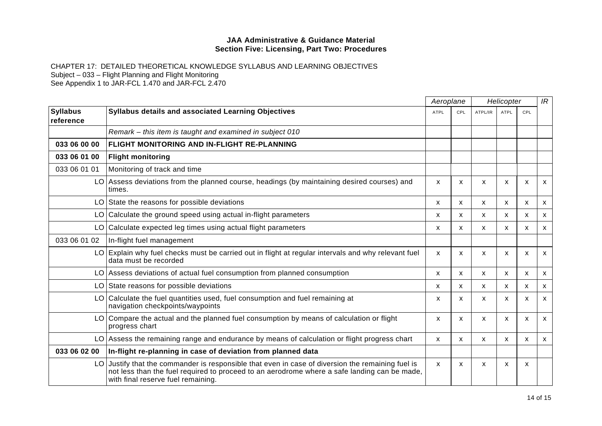|                              |                                                                                                                                                                                                                                      |              | Aeroplane<br>Helicopter   |         |              |              |              |
|------------------------------|--------------------------------------------------------------------------------------------------------------------------------------------------------------------------------------------------------------------------------------|--------------|---------------------------|---------|--------------|--------------|--------------|
| <b>Syllabus</b><br>reference | Syllabus details and associated Learning Objectives                                                                                                                                                                                  | <b>ATPL</b>  | CPL                       | ATPL/IR | ATPL         | CPL          |              |
|                              | Remark – this item is taught and examined in subject 010                                                                                                                                                                             |              |                           |         |              |              |              |
| 033 06 00 00                 | <b>FLIGHT MONITORING AND IN-FLIGHT RE-PLANNING</b>                                                                                                                                                                                   |              |                           |         |              |              |              |
| 033 06 01 00                 | <b>Flight monitoring</b>                                                                                                                                                                                                             |              |                           |         |              |              |              |
| 033 06 01 01                 | Monitoring of track and time                                                                                                                                                                                                         |              |                           |         |              |              |              |
|                              | LO Assess deviations from the planned course, headings (by maintaining desired courses) and<br>times.                                                                                                                                | X            | $\boldsymbol{\mathsf{x}}$ | X       | X            | X            | X            |
|                              | LO State the reasons for possible deviations                                                                                                                                                                                         | X.           | X.                        | X.      | X.           | X            | X            |
|                              | LO Calculate the ground speed using actual in-flight parameters                                                                                                                                                                      | X            | X                         | X       | $\mathsf{x}$ | X            | $\mathsf{x}$ |
|                              | LO Calculate expected leg times using actual flight parameters                                                                                                                                                                       | X            | X                         | X       | X            | X            | X            |
| 033 06 01 02                 | In-flight fuel management                                                                                                                                                                                                            |              |                           |         |              |              |              |
|                              | LO Explain why fuel checks must be carried out in flight at regular intervals and why relevant fuel<br>data must be recorded                                                                                                         | X            | $\mathsf{x}$              | X       | X            | $\mathsf{x}$ | $\mathsf{x}$ |
|                              | LO Assess deviations of actual fuel consumption from planned consumption                                                                                                                                                             | X            | X                         | X       | X            | X            | $\mathsf{x}$ |
|                              | LO State reasons for possible deviations                                                                                                                                                                                             | X.           | X                         | X       | X            | X            | X            |
|                              | LO Calculate the fuel quantities used, fuel consumption and fuel remaining at<br>navigation checkpoints/waypoints                                                                                                                    | X            | X                         | X       | X            | $\mathsf{x}$ | X            |
|                              | LO Compare the actual and the planned fuel consumption by means of calculation or flight<br>progress chart                                                                                                                           | X            | x                         | x       | X            | $\mathsf{x}$ | $\mathsf{x}$ |
|                              | LO Assess the remaining range and endurance by means of calculation or flight progress chart                                                                                                                                         | $\mathsf{x}$ | X                         | X       | X            | X            | $\mathsf{x}$ |
| 033 06 02 00                 | In-flight re-planning in case of deviation from planned data                                                                                                                                                                         |              |                           |         |              |              |              |
| LO I                         | Justify that the commander is responsible that even in case of diversion the remaining fuel is<br>not less than the fuel required to proceed to an aerodrome where a safe landing can be made,<br>with final reserve fuel remaining. | $\mathsf{x}$ | $\mathsf{x}$              | X       | X            | X            |              |